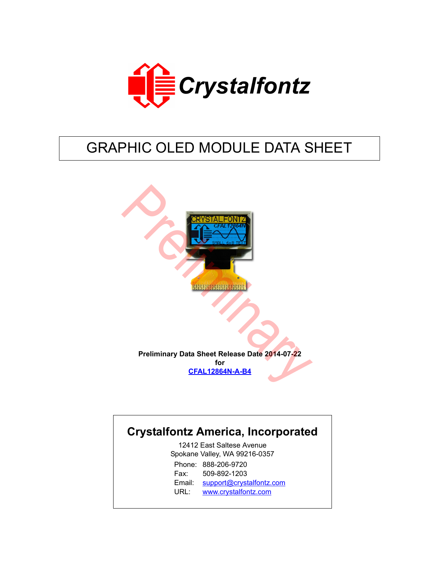

# GRAPHIC OLED MODULE DATA SHEET



# **Crystalfontz America, Incorporated**

12412 East Saltese Avenue Spokane Valley, WA 99216-0357 Phone: 888-206-9720 Fax: 509-892-1203 Email: [support@crystalfontz.com](mailto:support@crystalfontz.com) URL: [www.crystalfontz.com](http://www.crystalfontz.com)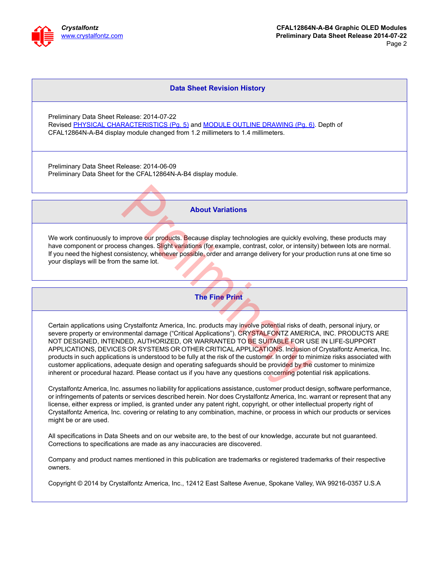

#### **Data Sheet Revision History**

Preliminary Data Sheet Release: 2014-07-22 Revised [PHYSICAL CHARACTERISTICS \(Pg. 5\)](#page-4-0) and [MODULE OUTLINE DRAWING \(Pg. 6\).](#page-5-0) Depth of CFAL12864N-A-B4 display module changed from 1.2 millimeters to 1.4 millimeters.

Preliminary Data Sheet Release: 2014-06-09 Preliminary Data Sheet for the CFAL12864N-A-B4 display module.

**About Variations**

We work continuously to improve our products. Because display technologies are quickly evolving, these products may have component or process changes. Slight variations (for example, contrast, color, or intensity) between lots are normal. If you need the highest consistency, whenever possible, order and arrange delivery for your production runs at one time so your displays will be from the same lot.

#### **The Fine Print**

Certain applications using Crystalfontz America, Inc. products may involve potential risks of death, personal injury, or severe property or environmental damage ("Critical Applications"). CRYSTALFONTZ AMERICA, INC. PRODUCTS ARE NOT DESIGNED, INTENDED, AUTHORIZED, OR WARRANTED TO BE SUITABLE FOR USE IN LIFE-SUPPORT APPLICATIONS, DEVICES OR SYSTEMS OR OTHER CRITICAL APPLICATIONS. Inclusion of Crystalfontz America, Inc. products in such applications is understood to be fully at the risk of the customer. In order to minimize risks associated with customer applications, adequate design and operating safeguards should be provided by the customer to minimize inherent or procedural hazard. Please contact us if you have any questions concerning potential risk applications. About Variations<br>
mprove our products. Because display technologies are quickly evos<br>
so changes. Slight variations (for example, contrast, color, or intensity<br>
sistency, whenever possible, order and arrange delivery for y

Crystalfontz America, Inc. assumes no liability for applications assistance, customer product design, software performance, or infringements of patents or services described herein. Nor does Crystalfontz America, Inc. warrant or represent that any license, either express or implied, is granted under any patent right, copyright, or other intellectual property right of Crystalfontz America, Inc. covering or relating to any combination, machine, or process in which our products or services might be or are used.

All specifications in Data Sheets and on our website are, to the best of our knowledge, accurate but not guaranteed. Corrections to specifications are made as any inaccuracies are discovered.

Company and product names mentioned in this publication are trademarks or registered trademarks of their respective owners.

Copyright © 2014 by Crystalfontz America, Inc., 12412 East Saltese Avenue, Spokane Valley, WA 99216-0357 U.S.A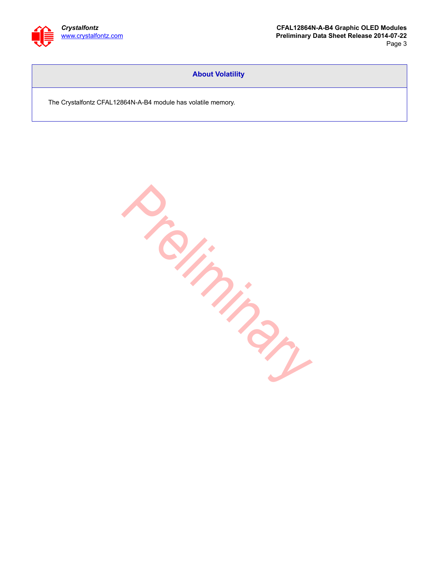

#### **About Volatility**

The Crystalfontz CFAL12864N-A-B4 module has volatile memory.

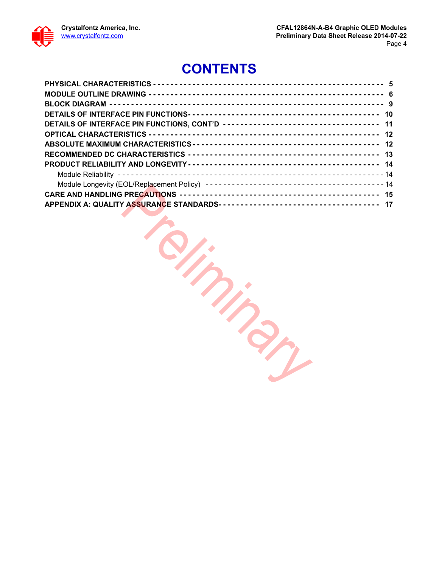# **CONTENTS**

| DETAILS OF INTERFACE PIN FUNCTIONS, CONT'D ----------------------------------- 11 |  |
|-----------------------------------------------------------------------------------|--|
|                                                                                   |  |
|                                                                                   |  |
|                                                                                   |  |
|                                                                                   |  |
|                                                                                   |  |
|                                                                                   |  |
|                                                                                   |  |
|                                                                                   |  |

Teliminary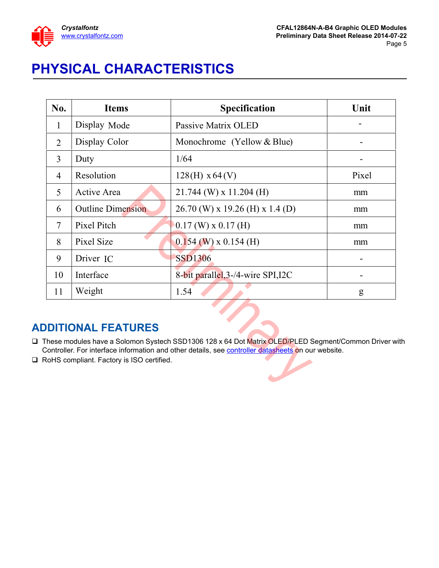

# <span id="page-4-1"></span><span id="page-4-0"></span>**PHYSICAL CHARACTERISTICS**

| No.                                                                                                                                                                                                                                                                                           | <b>Items</b>             | Specification                      | Unit  |  |  |
|-----------------------------------------------------------------------------------------------------------------------------------------------------------------------------------------------------------------------------------------------------------------------------------------------|--------------------------|------------------------------------|-------|--|--|
| $\mathbf{1}$                                                                                                                                                                                                                                                                                  | Display Mode             | Passive Matrix OLED                |       |  |  |
| $\overline{2}$                                                                                                                                                                                                                                                                                | Display Color            | Monochrome (Yellow & Blue)         |       |  |  |
| $\overline{3}$                                                                                                                                                                                                                                                                                | Duty                     | 1/64                               |       |  |  |
| 4                                                                                                                                                                                                                                                                                             | Resolution               | $128(H) \times 64(V)$              | Pixel |  |  |
| 5                                                                                                                                                                                                                                                                                             | Active Area              | $21.744$ (W) x 11.204 (H)          | mm    |  |  |
| 6                                                                                                                                                                                                                                                                                             | <b>Outline Dimension</b> | $26.70$ (W) x 19.26 (H) x 1.4 (D)  | mm    |  |  |
| 7                                                                                                                                                                                                                                                                                             | Pixel Pitch              | $0.17$ (W) x $0.17$ (H)            | mm    |  |  |
| 8                                                                                                                                                                                                                                                                                             | Pixel Size               | $0.154$ (W) x 0.154 (H)            | mm    |  |  |
| 9                                                                                                                                                                                                                                                                                             | Driver IC                | <b>SSD1306</b>                     |       |  |  |
| 10                                                                                                                                                                                                                                                                                            | Interface                | 8-bit parallel, 3-/4-wire SPI, I2C |       |  |  |
| 11                                                                                                                                                                                                                                                                                            | Weight                   | 1.54                               | g     |  |  |
| <b>DITIONAL FEATURES</b><br>hese modules have a Solomon Systech SSD1306 128 x 64 Dot Matrix OLED/PLED Segment/Common Driver w <sup>-</sup><br>Controller. For interface information and other details, see controller datasheets on our website.<br>RoHS compliant. Factory is ISO certified. |                          |                                    |       |  |  |

## **ADDITIONAL FEATURES**

- □ These modules have a Solomon Systech SSD1306 128 x 64 Dot Matrix OLED/PLED Segment/Common Driver with Controller. For interface information and other details, see controller datasheets on our website.
- □ RoHS compliant. Factory is ISO certified.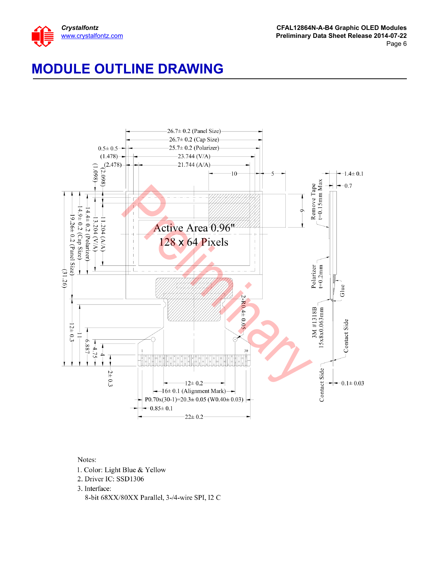

# <span id="page-5-1"></span><span id="page-5-0"></span>**MODULE OUTLINE DRAWING**



#### Notes:

- 1. Color: Light Blue & Yellow
- 2. Driver IC: SSD1306

3. Interface: 8-bit 68XX/80XX Parallel, 3-/4-wire SPI, I2 C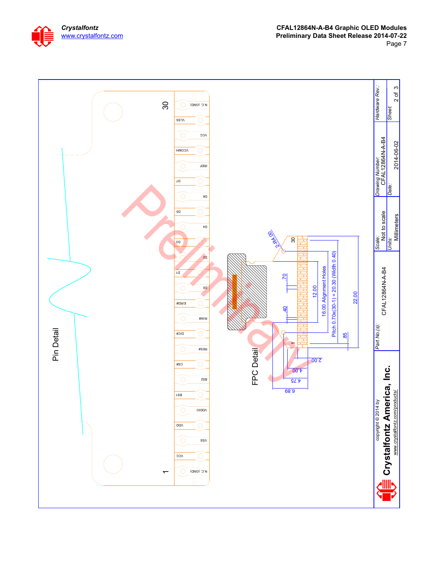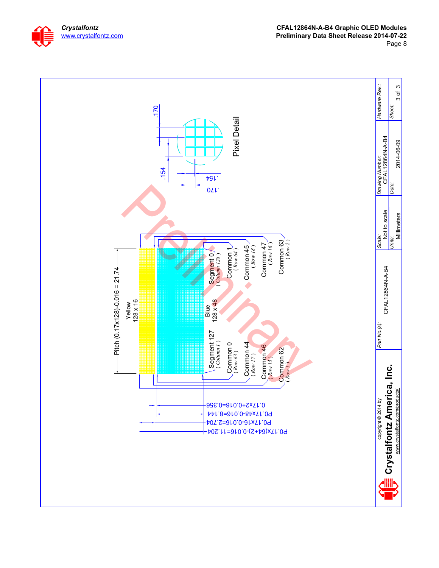

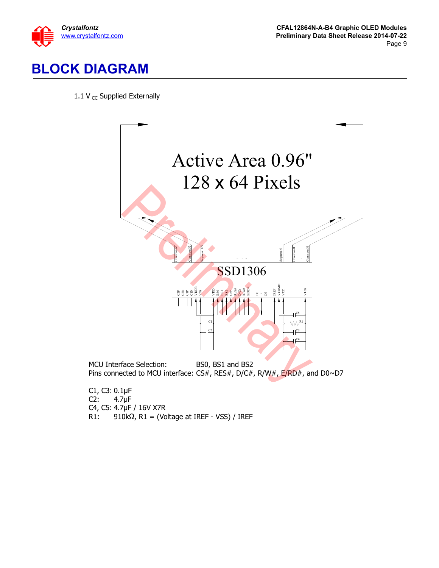

#### <span id="page-8-0"></span>**BLOCK DIAGRAM**  $\ddot{\phantom{0}}$

1.1 V  $_{\text{CC}}$  Supplied Externally



C1, C3:  $0.1 \mu F$ <br>C2:  $4.7 \mu F$  $4.7<sub>µF</sub>$ C4, C5: 4.7µF / 16V X7R R1:  $910k\Omega$ , R1 = (Voltage at IREF - VSS) / IREF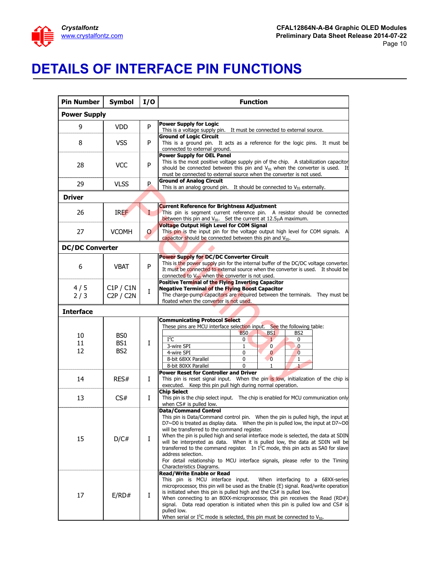

# <span id="page-9-0"></span>**DETAILS OF INTERFACE PIN FUNCTIONS**

| <b>Pin Number</b>      | <b>Symbol</b>                             | I/O     | <b>Function</b>                                                                                                                                                                                                                                                                                                                                                                                                                                                                                                                                                                                                                                     |  |  |  |
|------------------------|-------------------------------------------|---------|-----------------------------------------------------------------------------------------------------------------------------------------------------------------------------------------------------------------------------------------------------------------------------------------------------------------------------------------------------------------------------------------------------------------------------------------------------------------------------------------------------------------------------------------------------------------------------------------------------------------------------------------------------|--|--|--|
| <b>Power Supply</b>    |                                           |         |                                                                                                                                                                                                                                                                                                                                                                                                                                                                                                                                                                                                                                                     |  |  |  |
| 9                      | <b>VDD</b>                                | P       | <b>Power Supply for Logic</b>                                                                                                                                                                                                                                                                                                                                                                                                                                                                                                                                                                                                                       |  |  |  |
| 8                      | <b>VSS</b>                                | P       | This is a voltage supply pin. It must be connected to external source.<br><b>Ground of Logic Circuit</b><br>This is a ground pin. It acts as a reference for the logic pins. It must be                                                                                                                                                                                                                                                                                                                                                                                                                                                             |  |  |  |
|                        |                                           |         | connected to external ground.                                                                                                                                                                                                                                                                                                                                                                                                                                                                                                                                                                                                                       |  |  |  |
| 28                     | <b>VCC</b>                                | P       | <b>Power Supply for OEL Panel</b><br>This is the most positive voltage supply pin of the chip. A stabilization capacitor<br>should be connected between this pin and $V_{SS}$ when the converter is used. It<br>must be connected to external source when the converter is not used.                                                                                                                                                                                                                                                                                                                                                                |  |  |  |
| 29                     | <b>VLSS</b>                               | P.      | <b>Ground of Analog Circuit</b><br>This is an analog ground pin. It should be connected to V <sub>SS</sub> externally.                                                                                                                                                                                                                                                                                                                                                                                                                                                                                                                              |  |  |  |
| <b>Driver</b>          |                                           |         |                                                                                                                                                                                                                                                                                                                                                                                                                                                                                                                                                                                                                                                     |  |  |  |
| 26                     | <b>IREF</b>                               | T       | <b>Current Reference for Brightness Adjustment</b><br>This pin is segment current reference pin. A resistor should be connected<br>between this pin and $V_{SS}$ . Set the current at 12.5 $\mu$ A maximum.                                                                                                                                                                                                                                                                                                                                                                                                                                         |  |  |  |
| 27                     | <b>VCOMH</b>                              | 0       | <b>Voltage Output High Level for COM Signal</b><br>This pin is the input pin for the voltage output high level for COM signals. A<br>capacitor should be connected between this pin and Vss.                                                                                                                                                                                                                                                                                                                                                                                                                                                        |  |  |  |
| <b>DC/DC Converter</b> |                                           |         |                                                                                                                                                                                                                                                                                                                                                                                                                                                                                                                                                                                                                                                     |  |  |  |
| 6                      | <b>VBAT</b>                               | P       | <b>Power Supply for DC/DC Converter Circuit</b><br>This is the power supply pin for the internal buffer of the DC/DC voltage converter.<br>It must be connected to external source when the converter is used. It should be<br>connected to V <sub>DD</sub> when the converter is not used.                                                                                                                                                                                                                                                                                                                                                         |  |  |  |
| 4/5<br>2/3             | C1P / C1N<br>C2P / C2N                    | $\bf I$ | Positive Terminal of the Flying Inverting Capacitor<br><b>Negative Terminal of the Flying Boost Capacitor</b><br>The charge-pump capacitors are required between the terminals. They must be<br>floated when the converter is not used.                                                                                                                                                                                                                                                                                                                                                                                                             |  |  |  |
| <b>Interface</b>       |                                           |         |                                                                                                                                                                                                                                                                                                                                                                                                                                                                                                                                                                                                                                                     |  |  |  |
| 10<br>11<br>12         | BS <sub>0</sub><br>BS1<br>BS <sub>2</sub> | I       | <b>Communicating Protocol Select</b><br>These pins are MCU interface selection input. See the following table:<br>B <sub>SO</sub><br>BS <sub>1</sub><br>BS <sub>2</sub><br>$I^2C$<br>$\mathbf{1}$<br>0<br>0<br>3-wire SPI<br>1<br>$\overline{0}$<br>0<br>4-wire SPI<br>$\bf{0}$<br>0<br>$\mathbf{0}$<br>8-bit 68XX Parallel<br>0<br>$\overline{0}$<br>1<br>8-bit 80XX Parallel<br>$\mathbf{1}$<br>0<br>$\mathbf{1}$                                                                                                                                                                                                                                 |  |  |  |
| 14                     | RES#                                      | L       | <b>Power Reset for Controller and Driver</b><br>This pin is reset signal input. When the pin is low, initialization of the chip is                                                                                                                                                                                                                                                                                                                                                                                                                                                                                                                  |  |  |  |
|                        |                                           |         | executed. Keep this pin pull high during normal operation.                                                                                                                                                                                                                                                                                                                                                                                                                                                                                                                                                                                          |  |  |  |
| 13                     | CS#                                       | L       | <b>Chip Select</b><br>This pin is the chip select input. The chip is enabled for MCU communication only<br>when CS# is pulled low.                                                                                                                                                                                                                                                                                                                                                                                                                                                                                                                  |  |  |  |
| 15                     | D/C#                                      | Ι.      | <b>Data/Command Control</b><br>This pin is Data/Command control pin. When the pin is pulled high, the input at<br>D7~D0 is treated as display data. When the pin is pulled low, the input at D7~D0<br>will be transferred to the command register.<br>When the pin is pulled high and serial interface mode is selected, the data at SDIN<br>will be interpreted as data. When it is pulled low, the data at SDIN will be<br>transferred to the command register. In $I^2C$ mode, this pin acts as SA0 for slave<br>address selection.<br>For detail relationship to MCU interface signals, please refer to the Timing<br>Characteristics Diagrams. |  |  |  |
| 17                     | E/RD#                                     | Ι       | <b>Read/Write Enable or Read</b><br>This pin is MCU interface input.<br>When interfacing to a 68XX-series<br>microprocessor, this pin will be used as the Enable (E) signal. Read/write operation<br>is initiated when this pin is pulled high and the CS# is pulled low.<br>When connecting to an 80XX-microprocessor, this pin receives the Read $(RD#)$<br>signal. Data read operation is initiated when this pin is pulled low and CS# is<br>pulled low.<br>When serial or $I^2C$ mode is selected, this pin must be connected to $V_{SS}$ .                                                                                                    |  |  |  |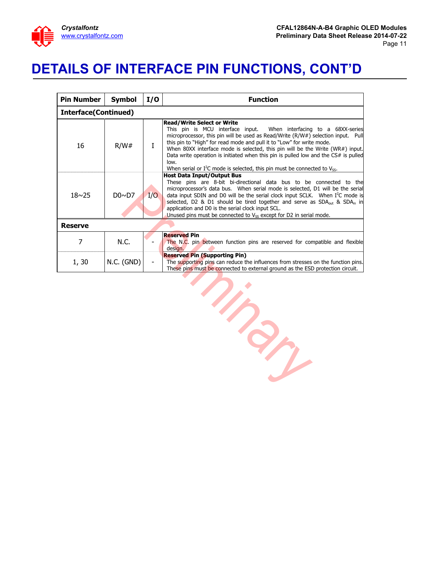

# <span id="page-10-0"></span>**DETAILS OF INTERFACE PIN FUNCTIONS, CONT'D**

| <b>Pin Number</b>           | <b>Symbol</b> | I/O | <b>Function</b>                                                                                                                                                                                                                                                                                                                                                                                                                                                                                                                             |  |  |  |  |
|-----------------------------|---------------|-----|---------------------------------------------------------------------------------------------------------------------------------------------------------------------------------------------------------------------------------------------------------------------------------------------------------------------------------------------------------------------------------------------------------------------------------------------------------------------------------------------------------------------------------------------|--|--|--|--|
| <b>Interface(Continued)</b> |               |     |                                                                                                                                                                                                                                                                                                                                                                                                                                                                                                                                             |  |  |  |  |
| 16                          | R/W#          | T   | <b>Read/Write Select or Write</b><br>This pin is MCU interface input.<br>When interfacing to a 68XX-series<br>microprocessor, this pin will be used as Read/Write (R/W#) selection input. Pull<br>this pin to "High" for read mode and pull it to "Low" for write mode.<br>When 80XX interface mode is selected, this pin will be the Write (WR#) input.<br>Data write operation is initiated when this pin is pulled low and the CS# is pulled<br>low.<br>When serial or $I^2C$ mode is selected, this pin must be connected to $V_{SS}$ . |  |  |  |  |
| $18 \sim 25$                | $D0 \sim D7$  | I/O | <b>Host Data Input/Output Bus</b><br>These pins are 8-bit bi-directional data bus to be connected to the<br>microprocessor's data bus. When serial mode is selected, D1 will be the serial<br>data input SDIN and D0 will be the serial clock input SCLK. When $I2C$ mode is<br>selected, D2 & D1 should be tired together and serve as SDA <sub>out</sub> & SDA <sub>in</sub> in<br>application and D0 is the serial clock input SCL.<br>Unused pins must be connected to $V_{SS}$ except for D2 in serial mode.                           |  |  |  |  |
| <b>Reserve</b>              |               |     |                                                                                                                                                                                                                                                                                                                                                                                                                                                                                                                                             |  |  |  |  |
| 7                           | N.C.          |     | <b>Reserved Pin</b><br>The N.C. pin between function pins are reserved for compatible and flexible<br>design.                                                                                                                                                                                                                                                                                                                                                                                                                               |  |  |  |  |
| 1, 30                       | N.C. (GND)    |     | <b>Reserved Pin (Supporting Pin)</b><br>The supporting pins can reduce the influences from stresses on the function pins.<br>These pins must be connected to external ground as the ESD protection circuit.                                                                                                                                                                                                                                                                                                                                 |  |  |  |  |
|                             |               |     |                                                                                                                                                                                                                                                                                                                                                                                                                                                                                                                                             |  |  |  |  |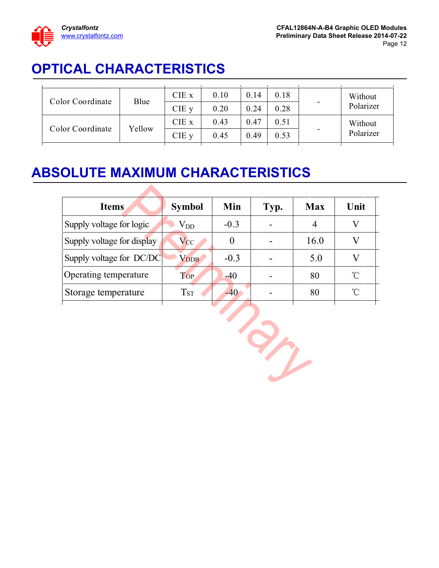

# <span id="page-11-0"></span>**OPTICAL CHARACTERISTICS**

| Color Coordinate | Blue   | CIE x   | 0.10 | 0.14 | 0.18 | $\overline{\phantom{0}}$ | Without              |  |
|------------------|--------|---------|------|------|------|--------------------------|----------------------|--|
|                  |        | $CIE$ y | 0.20 | 0.24 | 0.28 |                          | Polarizer            |  |
| Color Coordinate | Yellow | $CIE$ x | 0.43 | 0.47 | 0.51 | $\overline{\phantom{a}}$ | Without<br>Polarizer |  |
|                  |        | CIE y   | 0.45 | 0.49 | 0.53 |                          |                      |  |
|                  |        |         |      |      |      |                          |                      |  |

# <span id="page-11-1"></span>**ABSOLUTE MAXIMUM CHARACTERISTICS**

| <b>Items</b>               | <b>Symbol</b>           | Min            | Typ. | <b>Max</b>     | Unit                 |  |  |
|----------------------------|-------------------------|----------------|------|----------------|----------------------|--|--|
| Supply voltage for logic   | $\rm V_{DD}$            | $-0.3$         |      | $\overline{4}$ | V                    |  |  |
| Supply voltage for display | <b>Vcc</b>              | $\overline{0}$ |      | 16.0           | V                    |  |  |
| Supply voltage for DC/DC   | <b>V</b> <sub>DDB</sub> | $-0.3$         |      | 5.0            | $\rm V$              |  |  |
| Operating temperature      | <b>Top</b>              | $-40$          |      | 80             | $\mathrm{C}^{\circ}$ |  |  |
| Storage temperature        | <b>T</b> <sub>ST</sub>  | $-40$          |      | 80             | $\int_0^\infty$      |  |  |
|                            |                         |                |      |                |                      |  |  |

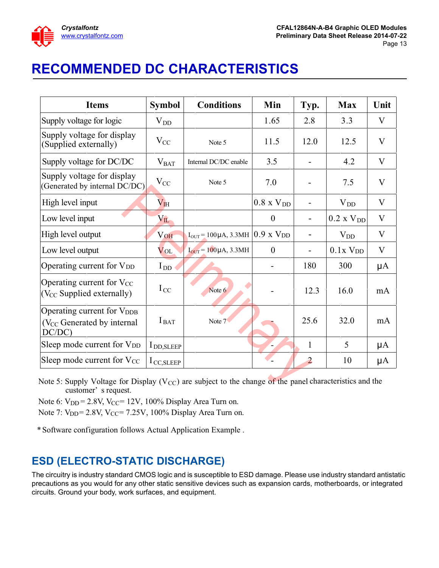

# <span id="page-12-0"></span>**RECOMMENDED DC CHARACTERISTICS**

| <b>Items</b>                                                                                                                           | <b>Symbol</b>         | <b>Conditions</b>                            | Min                 | Typ.           | <b>Max</b>             | Unit             |  |
|----------------------------------------------------------------------------------------------------------------------------------------|-----------------------|----------------------------------------------|---------------------|----------------|------------------------|------------------|--|
| Supply voltage for logic                                                                                                               | $\rm V_{DD}$          |                                              | 1.65                | 2.8            | 3.3                    | V                |  |
| Supply voltage for display<br>(Supplied externally)                                                                                    | $\rm V_{CC}$          | Note 5                                       | 11.5                | 12.0           | 12.5                   | $\mathbf{V}$     |  |
| Supply voltage for DC/DC                                                                                                               | $\rm V_{BAT}$         | Internal DC/DC enable                        | 3.5                 |                | 4.2                    | V                |  |
| Supply voltage for display<br>(Generated by internal DC/DC)                                                                            | $\rm V_{CC}$          | Note 5                                       | 7.0                 |                | 7.5                    | $\mathbf{V}$     |  |
| High level input                                                                                                                       | $\rm V_{IH}$          |                                              | $0.8 \times V_{DD}$ |                | $V_{DD}$               | V                |  |
| Low level input                                                                                                                        | $\rm V_{II}$          |                                              | $\mathbf{0}$        |                | $0.2$ x $V_{DD}$       | V                |  |
| High level output                                                                                                                      | $\rm V_{OH}$          | $I_{\text{OUT}} = 100 \,\mu\text{A}$ , 3.3MH | $0.9$ x $V_{DD}$    |                | $V_{DD}$               | V                |  |
| Low level output                                                                                                                       | $\rm V_{OL}$          | $I_{OUT} = 100 \mu A, 3.3 MHz$               | $\mathbf{0}$        |                | $0.1x$ V <sub>DD</sub> | V                |  |
| Operating current for V <sub>DD</sub>                                                                                                  | $I_{DD}$              |                                              |                     | 180            | 300                    | $\mathsf{\mu A}$ |  |
| Operating current for V <sub>CC</sub><br>(V <sub>CC</sub> Supplied externally)                                                         | $I_{\text{CC}}$       | Note 6                                       |                     | 12.3           | 16.0                   | mA               |  |
| Operating current for V <sub>DDB</sub><br>(V <sub>CC</sub> Generated by internal<br>DC/DC                                              | $I_{\text{BAT}}$      | Note 7                                       |                     | 25.6           | 32.0                   | mA               |  |
| Sleep mode current for V <sub>DD</sub>                                                                                                 | I DD, SLEEP           |                                              |                     | 1              | 5                      | μA               |  |
| Sleep mode current for Vcc                                                                                                             | $1_{\text{CC,SLEEP}}$ |                                              |                     | $\overline{2}$ | 10                     | $\mu A$          |  |
| Note 5: Supply Voltage for Display ( $V_{CC}$ ) are subject to the change of the panel characteristics and the<br>customer' s request. |                       |                                              |                     |                |                        |                  |  |

Note 5: Supply Voltage for Display (V<sub>CC</sub>) are subject to the change of the panel characteristics and the customer' s request.

Note 6:  $V_{DD} = 2.8V$ ,  $V_{CC} = 12V$ , 100% Display Area Turn on.

Note 7:  $V_{DD} = 2.8V$ ,  $V_{CC} = 7.25V$ , 100% Display Area Turn on.

\* Software configuration follows Actual Application Example .

## **ESD (ELECTRO-STATIC DISCHARGE)**

The circuitry is industry standard CMOS logic and is susceptible to ESD damage. Please use industry standard antistatic precautions as you would for any other static sensitive devices such as expansion cards, motherboards, or integrated circuits. Ground your body, work surfaces, and equipment.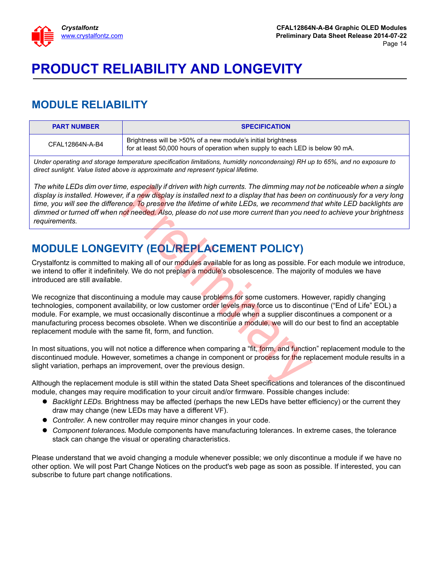

# <span id="page-13-0"></span>**PRODUCT RELIABILITY AND LONGEVITY**

## <span id="page-13-1"></span>**MODULE RELIABILITY**

| <b>PART NUMBER</b> | <b>SPECIFICATION</b>                                                                                                                           |
|--------------------|------------------------------------------------------------------------------------------------------------------------------------------------|
| CFAL12864N-A-B4    | Brightness will be >50% of a new module's initial brightness<br>for at least 50,000 hours of operation when supply to each LED is below 90 mA. |

*Under operating and storage temperature specification limitations, humidity noncondensing) RH up to 65%, and no exposure to direct sunlight. Value listed above is approximate and represent typical lifetime.*

*The white LEDs dim over time, especially if driven with high currents. The dimming may not be noticeable when a single display is installed. However, if a new display is installed next to a display that has been on continuously for a very long time, you will see the difference. To preserve the lifetime of white LEDs, we recommend that white LED backlights are dimmed or turned off when not needed. Also, please do not use more current than you need to achieve your brightness requirements.*

# <span id="page-13-2"></span>**MODULE LONGEVITY (EOL/REPLACEMENT POLICY)**

Crystalfontz is committed to making all of our modules available for as long as possible. For each module we introduce, we intend to offer it indefinitely. We do not preplan a module's obsolescence. The majority of modules we have introduced are still available.

We recognize that discontinuing a module may cause problems for some customers. However, rapidly changing technologies, component availability, or low customer order levels may force us to discontinue ("End of Life" EOL) a module. For example, we must occasionally discontinue a module when a supplier discontinues a component or a manufacturing process becomes obsolete. When we discontinue a module, we will do our best to find an acceptable replacement module with the same fit, form, and function. The especially if driven with high currents. The dimming may not, if a new display is installed next to a display that has been of nores. To preserve the lifetime of white LEDs, we recommend to othereded. Also, please do n

In most situations, you will not notice a difference when comparing a "fit, form, and function" replacement module to the discontinued module. However, sometimes a change in component or process for the replacement module results in a slight variation, perhaps an improvement, over the previous design.

Although the replacement module is still within the stated Data Sheet specifications and tolerances of the discontinued module, changes may require modification to your circuit and/or firmware. Possible changes include:

- *Backlight LEDs.* Brightness may be affected (perhaps the new LEDs have better efficiency) or the current they draw may change (new LEDs may have a different VF).
- *Controller.* A new controller may require minor changes in your code.
- *Component tolerances.* Module components have manufacturing tolerances. In extreme cases, the tolerance stack can change the visual or operating characteristics.

Please understand that we avoid changing a module whenever possible; we only discontinue a module if we have no other option. We will post Part Change Notices on the product's web page as soon as possible. If interested, you can subscribe to future part change notifications.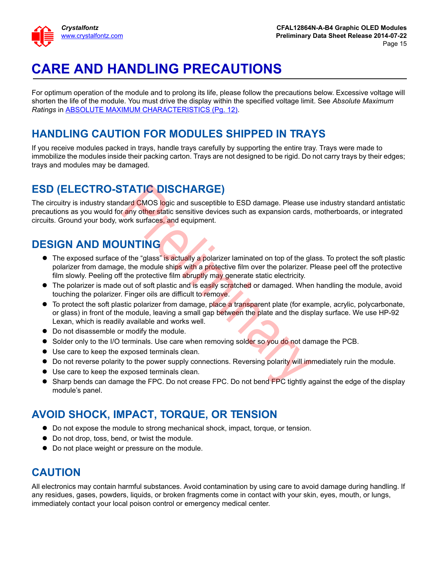

# <span id="page-14-0"></span>**CARE AND HANDLING PRECAUTIONS**

For optimum operation of the module and to prolong its life, please follow the precautions below. Excessive voltage will shorten the life of the module. You must drive the display within the specified voltage limit. See *Absolute Maximum Ratings* in [ABSOLUTE MAXIMUM CHARACTERISTICS \(Pg. 12\).](#page-11-1)

### **HANDLING CAUTION FOR MODULES SHIPPED IN TRAYS**

If you receive modules packed in trays, handle trays carefully by supporting the entire tray. Trays were made to immobilize the modules inside their packing carton. Trays are not designed to be rigid. Do not carry trays by their edges; trays and modules may be damaged.

## **ESD (ELECTRO-STATIC DISCHARGE)**

The circuitry is industry standard CMOS logic and susceptible to ESD damage. Please use industry standard antistatic precautions as you would for any other static sensitive devices such as expansion cards, motherboards, or integrated circuits. Ground your body, work surfaces, and equipment.

## **DESIGN AND MOUNTING**

- The exposed surface of the "glass" is actually a polarizer laminated on top of the glass. To protect the soft plastic polarizer from damage, the module ships with a protective film over the polarizer. Please peel off the protective film slowly. Peeling off the protective film abruptly may generate static electricity.
- The polarizer is made out of soft plastic and is easily scratched or damaged. When handling the module, avoid touching the polarizer. Finger oils are difficult to remove.
- To protect the soft plastic polarizer from damage, place a transparent plate (for example, acrylic, polycarbonate, or glass) in front of the module, leaving a small gap between the plate and the display surface. We use HP-92 Lexan, which is readily available and works well. **TATIC DISCHARGE)**<br>
dard CMOS logic and susceptible to ESD damage. Please us<br>
arany other static sensitive devices such as expansion cards,<br>
work surfaces, and equipment.<br> **UNTING**<br>
of the "glass" is actually a polarizer
- $\bullet$  Do not disassemble or modify the module.
- Solder only to the I/O terminals. Use care when removing solder so you do not damage the PCB.
- Use care to keep the exposed terminals clean.
- $\bullet$  Do not reverse polarity to the power supply connections. Reversing polarity will immediately ruin the module.
- Use care to keep the exposed terminals clean.
- Sharp bends can damage the FPC. Do not crease FPC. Do not bend FPC tightly against the edge of the display module's panel.

### **AVOID SHOCK, IMPACT, TORQUE, OR TENSION**

- Do not expose the module to strong mechanical shock, impact, torque, or tension.
- Do not drop, toss, bend, or twist the module.
- Do not place weight or pressure on the module.

### **CAUTION**

All electronics may contain harmful substances. Avoid contamination by using care to avoid damage during handling. If any residues, gases, powders, liquids, or broken fragments come in contact with your skin, eyes, mouth, or lungs, immediately contact your local poison control or emergency medical center.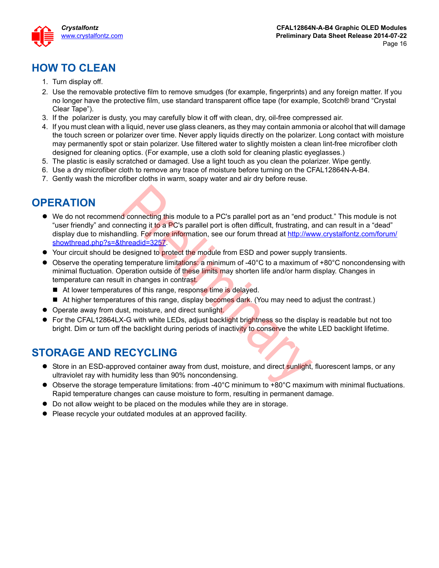

## **HOW TO CLEAN**

- 1. Turn display off.
- 2. Use the removable protective film to remove smudges (for example, fingerprints) and any foreign matter. If you no longer have the protective film, use standard transparent office tape (for example, Scotch® brand "Crystal Clear Tape").
- 3. If the polarizer is dusty, you may carefully blow it off with clean, dry, oil-free compressed air.
- 4. If you must clean with a liquid, never use glass cleaners, as they may contain ammonia or alcohol that will damage the touch screen or polarizer over time. Never apply liquids directly on the polarizer. Long contact with moisture may permanently spot or stain polarizer. Use filtered water to slightly moisten a clean lint-free microfiber cloth designed for cleaning optics. (For example, use a cloth sold for cleaning plastic eyeglasses.)
- 5. The plastic is easily scratched or damaged. Use a light touch as you clean the polarizer. Wipe gently.
- 6. Use a dry microfiber cloth to remove any trace of moisture before turning on the CFAL12864N-A-B4.
- 7. Gently wash the microfiber cloths in warm, soapy water and air dry before reuse.

## **OPERATION**

- We do not recommend connecting this module to a PC's parallel port as an "end product." This module is not "user friendly" and connecting it to a PC's parallel port is often difficult, frustrating, and can result in a "dead" display due to mishandling. For more information, see our forum thread at [http://www.crystalfontz.com/forum/](http://www.crystalfontz.com/forum/showthread.php?s=&threadid=3257) [showthread.php?s=&threadid=3257](http://www.crystalfontz.com/forum/showthread.php?s=&threadid=3257). d connecting this module to a PC's parallel port as an "end precting it to a PC's parallel port is often difficult, frustrating, alding. For more information, see our forum thread at http://www.htreadid=3257.<br>designed to p
- Your circuit should be designed to protect the module from ESD and power supply transients.
- Observe the operating temperature limitations: a minimum of -40°C to a maximum of +80°C noncondensing with minimal fluctuation. Operation outside of these limits may shorten life and/or harm display. Changes in temperature can result in changes in contrast.
	- At lower temperatures of this range, response time is delayed.
	- At higher temperatures of this range, display becomes dark. (You may need to adjust the contrast.)
- Operate away from dust, moisture, and direct sunlight.
- For the CFAL12864LX-G with white LEDs, adjust backlight brightness so the display is readable but not too bright. Dim or turn off the backlight during periods of inactivity to conserve the white LED backlight lifetime.

## **STORAGE AND RECYCLING**

- Store in an ESD-approved container away from dust, moisture, and direct sunlight, fluorescent lamps, or any ultraviolet ray with humidity less than 90% noncondensing.
- $\bullet$  Observe the storage temperature limitations: from -40 $\degree$ C minimum to +80 $\degree$ C maximum with minimal fluctuations. Rapid temperature changes can cause moisture to form, resulting in permanent damage.
- Do not allow weight to be placed on the modules while they are in storage.
- Please recycle your outdated modules at an approved facility.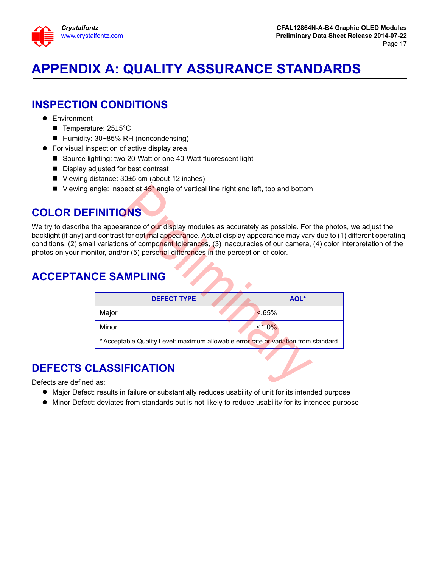

# <span id="page-16-0"></span>**APPENDIX A: QUALITY ASSURANCE STANDARDS**

### **INSPECTION CONDITIONS**

- **•** Environment
	- Temperature: 25±5°C
	- Humidity: 30~85% RH (noncondensing)
- For visual inspection of active display area
	- Source lighting: two 20-Watt or one 40-Watt fluorescent light
	- Display adjusted for best contrast
	- Viewing distance: 30±5 cm (about 12 inches)
	- Viewing angle: inspect at 45° angle of vertical line right and left, top and bottom

## **COLOR DEFINITIONS**

We try to describe the appearance of our display modules as accurately as possible. For the photos, we adjust the backlight (if any) and contrast for optimal appearance. Actual display appearance may vary due to (1) different operating conditions, (2) small variations of component tolerances, (3) inaccuracies of our camera, (4) color interpretation of the photos on your monitor, and/or (5) personal differences in the perception of color.

## **ACCEPTANCE SAMPLING**

| ngle: inspect at 45° angle of vertical line right and left, top and bottom                                                                                                                                                                                                                                                                       |           |
|--------------------------------------------------------------------------------------------------------------------------------------------------------------------------------------------------------------------------------------------------------------------------------------------------------------------------------------------------|-----------|
| <b>INITIONS</b>                                                                                                                                                                                                                                                                                                                                  |           |
| he appearance of our display modules as accurately as possible. For the photo<br>d contrast for optimal appearance. Actual display appearance may vary due to (1<br>I variations of component tolerances, (3) inaccuracies of our camera, (4) color i<br>itor, and/or (5) personal differences in the perception of color.<br><b>CE SAMPLING</b> |           |
| <b>DEFECT TYPE</b>                                                                                                                                                                                                                                                                                                                               | AQL*      |
| Major                                                                                                                                                                                                                                                                                                                                            | < 65%     |
| Minor                                                                                                                                                                                                                                                                                                                                            | $< 1.0\%$ |
| * Acceptable Quality Level: maximum allowable error rate or variation from standard                                                                                                                                                                                                                                                              |           |
| <b>LASSIFICATION</b>                                                                                                                                                                                                                                                                                                                             |           |
|                                                                                                                                                                                                                                                                                                                                                  |           |
| as:                                                                                                                                                                                                                                                                                                                                              |           |

## **DEFECTS CLASSIFICATION**

Defects are defined as:

- Major Defect: results in failure or substantially reduces usability of unit for its intended purpose
- Minor Defect: deviates from standards but is not likely to reduce usability for its intended purpose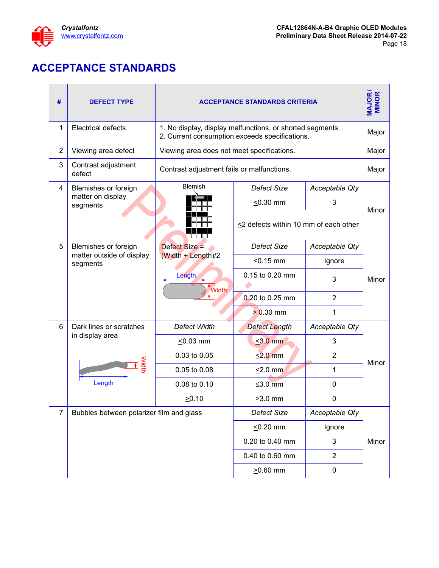

## **ACCEPTANCE STANDARDS**

| #              | <b>DEFECT TYPE</b>                                            | <b>ACCEPTANCE STANDARDS CRITERIA</b>       |                                                                                                             |                |       |  |  |
|----------------|---------------------------------------------------------------|--------------------------------------------|-------------------------------------------------------------------------------------------------------------|----------------|-------|--|--|
| $\mathbf{1}$   | <b>Electrical defects</b>                                     |                                            | 1. No display, display malfunctions, or shorted segments.<br>2. Current consumption exceeds specifications. |                |       |  |  |
| 2              | Viewing area defect                                           | Viewing area does not meet specifications. |                                                                                                             |                | Major |  |  |
| 3              | Contrast adjustment<br>defect                                 | Contrast adjustment fails or malfunctions. |                                                                                                             |                | Major |  |  |
| 4              | Blemishes or foreign                                          | <b>Blemish</b>                             | <b>Defect Size</b>                                                                                          | Acceptable Qty |       |  |  |
|                | matter on display<br>segments                                 |                                            | $\leq$ 0.30 mm                                                                                              | 3              | Minor |  |  |
|                |                                                               |                                            | $\leq$ 2 defects within 10 mm of each other                                                                 |                |       |  |  |
| 5              | Blemishes or foreign<br>matter outside of display<br>segments | Defect Size =                              | <b>Defect Size</b>                                                                                          | Acceptable Qty |       |  |  |
|                |                                                               | (Width + Length)/2                         | $\leq$ 0.15 mm                                                                                              | Ignore         |       |  |  |
|                |                                                               | Length<br>Width                            | 0.15 to 0.20 mm                                                                                             | 3              | Minor |  |  |
|                |                                                               |                                            | 0.20 to 0.25 mm                                                                                             | $\overline{2}$ |       |  |  |
|                |                                                               |                                            | $> 0.30$ mm                                                                                                 | 1              |       |  |  |
| 6              | Dark lines or scratches                                       | <b>Defect Width</b>                        | <b>Defect Length</b>                                                                                        | Acceptable Qty |       |  |  |
|                | in display area                                               | $\leq$ 0.03 mm                             | $\leq$ 3.0 mm                                                                                               | 3              |       |  |  |
|                |                                                               | 0.03 to 0.05                               | $\leq$ 2.0 mm                                                                                               | $\overline{2}$ | Minor |  |  |
|                | Width                                                         | 0.05 to 0.08                               | $\leq$ 2.0 mm                                                                                               | 1              |       |  |  |
|                | Length                                                        | 0.08 to 0.10                               | $\leq$ 3.0 mm                                                                                               | 0              |       |  |  |
|                |                                                               | $\geq 0.10$                                | $>3.0$ mm                                                                                                   | 0              |       |  |  |
| $\overline{7}$ | Bubbles between polarizer film and glass                      |                                            | <b>Defect Size</b>                                                                                          | Acceptable Qty |       |  |  |
|                |                                                               |                                            | $\leq$ 0.20 mm                                                                                              | Ignore         |       |  |  |
|                |                                                               |                                            | 0.20 to 0.40 mm                                                                                             | 3              | Minor |  |  |
|                |                                                               |                                            | 0.40 to 0.60 mm                                                                                             | $\overline{2}$ |       |  |  |
|                |                                                               |                                            | $20.60$ mm                                                                                                  | $\pmb{0}$      |       |  |  |